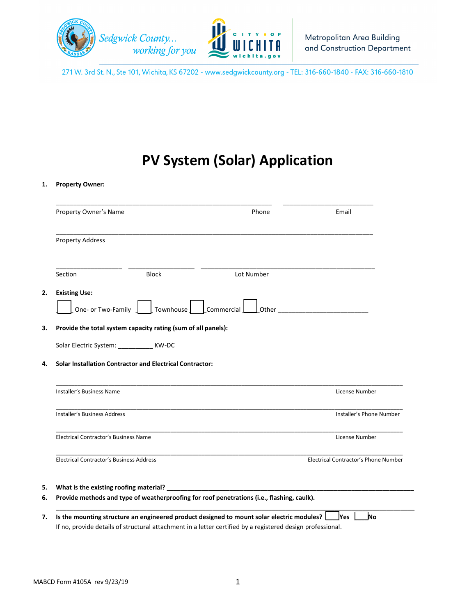

271 W. 3rd St. N., Ste 101, Wichita, KS 67202 - www.sedgwickcounty.org - TEL: 316-660-1840 - FAX: 316-660-1810

## **PV System (Solar) Application**

## **1. Property Owner:**

| Property Owner's Name                           |                                                                 | Phone                                                                                      | Email                                                                                                                 |
|-------------------------------------------------|-----------------------------------------------------------------|--------------------------------------------------------------------------------------------|-----------------------------------------------------------------------------------------------------------------------|
| <b>Property Address</b>                         |                                                                 |                                                                                            |                                                                                                                       |
| Section                                         | <b>Block</b>                                                    | Lot Number                                                                                 |                                                                                                                       |
| <b>Existing Use:</b><br>One- or Two-Family      | Townhouse                                                       | Commercial<br>Other                                                                        | <u> 1989 - Jan Barnett, mars eta bainar eta industrial eta industrial eta industrial eta industrial eta industria</u> |
|                                                 | Provide the total system capacity rating (sum of all panels):   |                                                                                            |                                                                                                                       |
|                                                 |                                                                 |                                                                                            |                                                                                                                       |
| Solar Electric System: _____________ KW-DC      |                                                                 |                                                                                            |                                                                                                                       |
| Installer's Business Name                       | <b>Solar Installation Contractor and Electrical Contractor:</b> |                                                                                            | License Number                                                                                                        |
| Installer's Business Address                    |                                                                 |                                                                                            | Installer's Phone Number                                                                                              |
| Electrical Contractor's Business Name           |                                                                 |                                                                                            | License Number                                                                                                        |
| <b>Electrical Contractor's Business Address</b> |                                                                 |                                                                                            |                                                                                                                       |
| What is the existing roofing material? ____     |                                                                 | Provide methods and type of weatherproofing for roof penetrations (i.e., flashing, caulk). | Electrical Contractor's Phone Number                                                                                  |